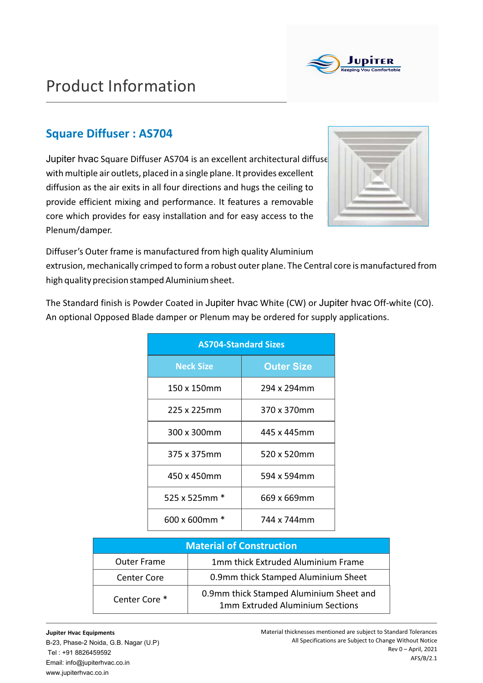

## Product Information

### **Square Diffuser : AS704**

Jupiter hvac Square Diffuser AS704 is an excellent architectural diffuse with multiple air outlets, placed in a single plane. It provides excellent diffusion as the air exits in all four directions and hugs the ceiling to provide efficient mixing and performance. It features a removable core which provides for easy installation and for easy access to the Plenum/damper.



Diffuser's Outer frame is manufactured from high quality Aluminium extrusion, mechanically crimped to form a robust outer plane. The Central core is manufactured from

high quality precision stamped Aluminium sheet.

The Standard finish is Powder Coated in Jupiter hvac White (CW) or Jupiter hvac Off-white (CO). An optional Opposed Blade damper or Plenum may be ordered for supply applications.

| <b>AS704-Standard Sizes</b> |                   |  |  |  |  |  |  |  |
|-----------------------------|-------------------|--|--|--|--|--|--|--|
| <b>Neck Size</b>            | <b>Outer Size</b> |  |  |  |  |  |  |  |
| 150 x 150mm                 | 294 x 294mm       |  |  |  |  |  |  |  |
| 225 x 225mm                 | 370 x 370mm       |  |  |  |  |  |  |  |
| 300 x 300mm                 | 445 x 445mm       |  |  |  |  |  |  |  |
| 375 x 375mm                 | 520 x 520mm       |  |  |  |  |  |  |  |
| 450 x 450mm                 | 594 x 594mm       |  |  |  |  |  |  |  |
| 525 x 525mm $*$             | 669 x 669mm       |  |  |  |  |  |  |  |
| 600 x 600mm                 | 744 x 744mm       |  |  |  |  |  |  |  |

| <b>Material of Construction</b> |                                                                                   |  |  |  |  |  |  |  |
|---------------------------------|-----------------------------------------------------------------------------------|--|--|--|--|--|--|--|
| <b>Outer Frame</b>              | 1mm thick Extruded Aluminium Frame                                                |  |  |  |  |  |  |  |
| <b>Center Core</b>              | 0.9mm thick Stamped Aluminium Sheet                                               |  |  |  |  |  |  |  |
| Center Core <sup>*</sup>        | 0.9mm thick Stamped Aluminium Sheet and<br><b>1mm Extruded Aluminium Sections</b> |  |  |  |  |  |  |  |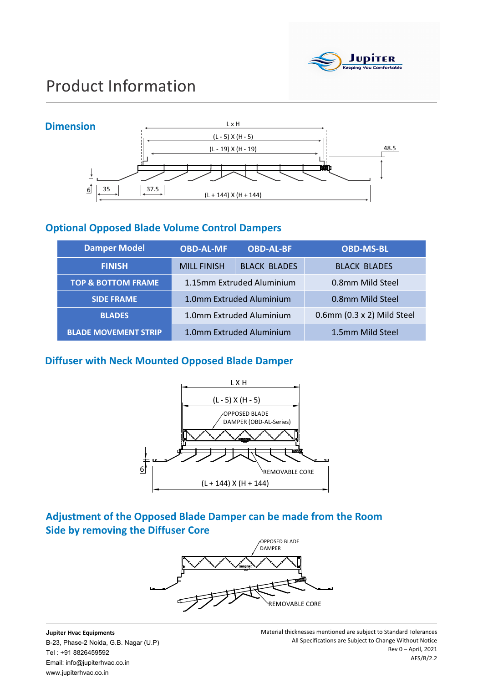

# Product Information



#### **Optional Opposed Blade Volume Control Dampers**

| <b>Damper Model</b>           | <b>OBD-AL-MF</b>   | <b>OBD-AL-BF</b>          | <b>OBD-MS-BL</b>           |  |  |  |
|-------------------------------|--------------------|---------------------------|----------------------------|--|--|--|
| <b>FINISH</b>                 | <b>MILL FINISH</b> | <b>BLACK BLADES</b>       | <b>BLACK BLADES</b>        |  |  |  |
| <b>TOP &amp; BOTTOM FRAME</b> |                    | 1.15mm Extruded Aluminium | 0.8mm Mild Steel           |  |  |  |
| <b>SIDE FRAME</b>             |                    | 1.0mm Extruded Aluminium  | 0.8mm Mild Steel           |  |  |  |
| <b>BLADES</b>                 |                    | 1.0mm Extruded Aluminium  | 0.6mm (0.3 x 2) Mild Steel |  |  |  |
| <b>BLADE MOVEMENT STRIP</b>   |                    | 1.0mm Extruded Aluminium  | 1.5mm Mild Steel           |  |  |  |

#### **Diffuser with Neck Mounted Opposed Blade Damper**



#### **Adjustment of the Opposed Blade Damper can be made from the Room Side by removing the Diffuser Core**



**Jupiter Hvac Equipments** B-23, Phase-2 Noida, G.B. Nagar (U.P) Tel : +91 8826459592 Email: info@jupiterhvac.co.in www.jupiterhvac.co.in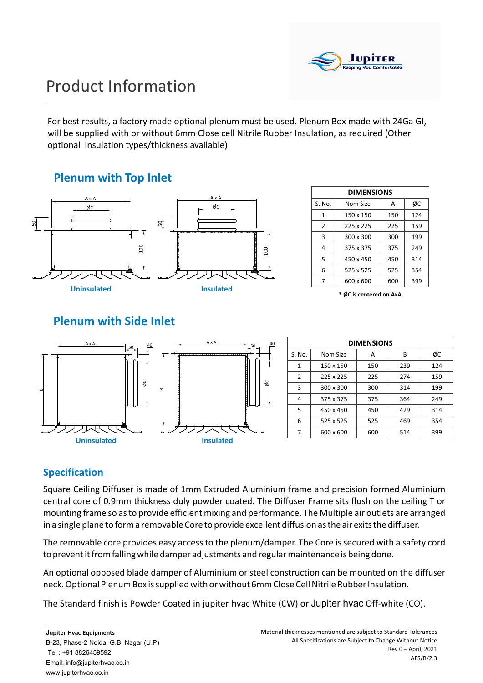

# Product Information

For best results, a factory made optional plenum must be used. Plenum Box made with 24Ga GI, will be supplied with or without 6mm Close cell Nitrile Rubber Insulation, as required (Other optional insulation types/thickness available)

### **Plenum with Top Inlet**



**DIMENSIONS** S. No. 1  $\overline{2}$ 3 4 5 6 7 Nom Size 150 x 150 225 x 225 300 x 300 375 x 375 450 x 450 525 x 525 600 x 600 A 150 225 300 375 450 525 600 ØC 124 159 199 249 314 354 399

**\* ØC is centered on AxA** 

## **Plenum with Side Inlet**



| <b>DIMENSIONS</b> |           |     |     |     |  |  |  |  |  |
|-------------------|-----------|-----|-----|-----|--|--|--|--|--|
| S. No.            | Nom Size  | А   | В   | ØС  |  |  |  |  |  |
| 1                 | 150 x 150 | 150 | 239 | 124 |  |  |  |  |  |
| 2                 | 225 x 225 | 225 | 274 | 159 |  |  |  |  |  |
| 3                 | 300 x 300 | 300 | 314 | 199 |  |  |  |  |  |
| 4                 | 375 x 375 | 375 | 364 | 249 |  |  |  |  |  |
| 5                 | 450 x 450 | 450 | 429 | 314 |  |  |  |  |  |
| 6                 | 525 x 525 | 525 | 469 | 354 |  |  |  |  |  |
| 7                 | 600 x 600 | 600 | 514 | 399 |  |  |  |  |  |

### **Specification**

Square Ceiling Diffuser is made of 1mm Extruded Aluminium frame and precision formed Aluminium central core of 0.9mm thickness duly powder coated. The Diffuser Frame sits flush on the ceiling T or mounting frame so as to provide efficient mixing and performance. The Multiple air outlets are arranged in a single plane to form a removable Core to provide excellent diffusion as the air exits the diffuser.

The removable core provides easy access to the plenum/damper. The Core is secured with a safety cord to prevent it from falling while damper adjustments and regular maintenance is being done.

An optional opposed blade damper of Aluminium or steel construction can be mounted on the diffuser neck. Optional Plenum Box is supplied with or without 6mm Close Cell Nitrile Rubber Insulation.

The Standard finish is Powder Coated in jupiter hvac White (CW) or Jupiter hvac Off-white (CO).